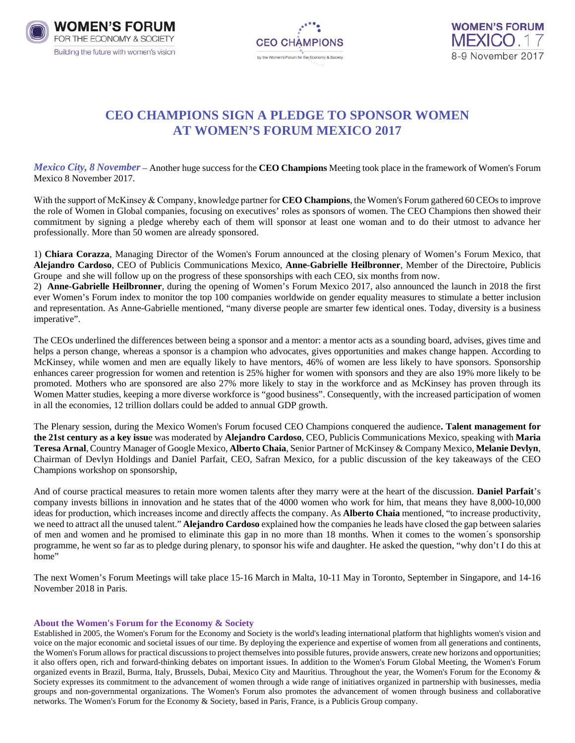





## **CEO CHAMPIONS SIGN A PLEDGE TO SPONSOR WOMEN AT WOMEN'S FORUM MEXICO 2017**

*Mexico City, 8 November –* Another huge success for the **CEO Champions** Meeting took place in the framework of Women's Forum Mexico 8 November 2017.

With the support of McKinsey & Company, knowledge partner for **CEO Champions**, the Women's Forum gathered 60 CEOs to improve the role of Women in Global companies, focusing on executives' roles as sponsors of women. The CEO Champions then showed their commitment by signing a pledge whereby each of them will sponsor at least one woman and to do their utmost to advance her professionally. More than 50 women are already sponsored.

1) **Chiara Corazza**, Managing Director of the Women's Forum announced at the closing plenary of Women's Forum Mexico, that **Alejandro Cardoso**, CEO of Publicis Communications Mexico, **Anne-Gabrielle Heilbronner**, Member of the Directoire, Publicis Groupe and she will follow up on the progress of these sponsorships with each CEO, six months from now.

2) **Anne-Gabrielle Heilbronner**, during the opening of Women's Forum Mexico 2017, also announced the launch in 2018 the first ever Women's Forum index to monitor the top 100 companies worldwide on gender equality measures to stimulate a better inclusion and representation. As Anne-Gabrielle mentioned, "many diverse people are smarter few identical ones. Today, diversity is a business imperative".

The CEOs underlined the differences between being a sponsor and a mentor: a mentor acts as a sounding board, advises, gives time and helps a person change, whereas a sponsor is a champion who advocates, gives opportunities and makes change happen. According to McKinsey, while women and men are equally likely to have mentors, 46% of women are less likely to have sponsors. Sponsorship enhances career progression for women and retention is 25% higher for women with sponsors and they are also 19% more likely to be promoted. Mothers who are sponsored are also 27% more likely to stay in the workforce and as McKinsey has proven through its Women Matter studies, keeping a more diverse workforce is "good business". Consequently, with the increased participation of women in all the economies, 12 trillion dollars could be added to annual GDP growth.

The Plenary session, during the Mexico Women's Forum focused CEO Champions conquered the audience**. Talent management for the 21st century as a key issu**e was moderated by **Alejandro Cardoso**, CEO, Publicis Communications Mexico, speaking with **Maria Teresa Arnal**, Country Manager of Google Mexico, **Alberto Chaia**, Senior Partner of McKinsey & Company Mexico, **Melanie Devlyn**, Chairman of Devlyn Holdings and Daniel Parfait, CEO, Safran Mexico, for a public discussion of the key takeaways of the CEO Champions workshop on sponsorship,

And of course practical measures to retain more women talents after they marry were at the heart of the discussion. **Daniel Parfait**'s company invests billions in innovation and he states that of the 4000 women who work for him, that means they have 8,000-10,000 ideas for production, which increases income and directly affects the company. As **Alberto Chaia** mentioned, "to increase productivity, we need to attract all the unused talent." **Alejandro Cardoso** explained how the companies he leads have closed the gap between salaries of men and women and he promised to eliminate this gap in no more than 18 months. When it comes to the women´s sponsorship programme, he went so far as to pledge during plenary, to sponsor his wife and daughter. He asked the question, "why don't I do this at home"

The next Women's Forum Meetings will take place 15-16 March in Malta, 10-11 May in Toronto, September in Singapore, and 14-16 November 2018 in Paris.

## **About the Women's Forum for the Economy & Society**

Established in 2005, the Women's Forum for the Economy and Society is the world's leading international platform that highlights women's vision and voice on the major economic and societal issues of our time. By deploying the experience and expertise of women from all generations and continents, the Women's Forum allows for practical discussions to project themselves into possible futures, provide answers, create new horizons and opportunities; it also offers open, rich and forward-thinking debates on important issues. In addition to the Women's Forum Global Meeting, the Women's Forum organized events in Brazil, Burma, Italy, Brussels, Dubai, Mexico City and Mauritius. Throughout the year, the Women's Forum for the Economy & Society expresses its commitment to the advancement of women through a wide range of initiatives organized in partnership with businesses, media groups and non-governmental organizations. The Women's Forum also promotes the advancement of women through business and collaborative networks. The Women's Forum for the Economy & Society, based in Paris, France, is a Publicis Group company.